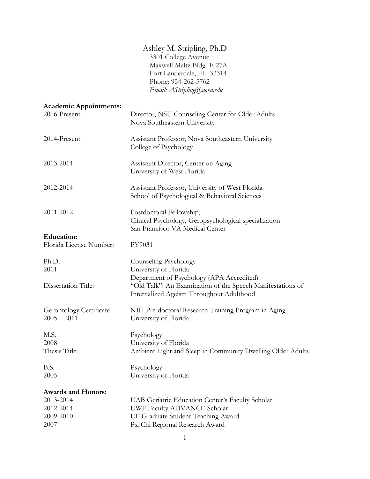# Ashley M. Stripling, Ph.D

3301 College Avenue Maxwell Maltz Bldg. 1027A Fort Lauderdale, FL 33314 Phone: 954-262-5762 *Email: AStripling@nova.edu* 

| <b>Academic Appointments:</b>                   |                                                                                                                      |
|-------------------------------------------------|----------------------------------------------------------------------------------------------------------------------|
| 2016-Present                                    | Director, NSU Counseling Center for Older Adults<br>Nova Southeastern University                                     |
| 2014-Present                                    | Assistant Professor, Nova Southeastern University<br>College of Psychology                                           |
| 2013-2014                                       | Assistant Director, Center on Aging<br>University of West Florida                                                    |
| 2012-2014                                       | Assistant Professor, University of West Florida<br>School of Psychological & Behavioral Sciences                     |
| 2011-2012                                       | Postdoctoral Fellowship,<br>Clinical Psychology, Geropsychological specialization<br>San Francisco VA Medical Center |
| <b>Education:</b>                               |                                                                                                                      |
| Florida License Number:                         | PY9031                                                                                                               |
| Ph.D.                                           | Counseling Psychology                                                                                                |
| 2011                                            | University of Florida                                                                                                |
| Dissertation Title:                             | Department of Psychology (APA Accredited)<br>"Old Talk": An Examination of the Speech Manifestations of              |
|                                                 | Internalized Ageism Throughout Adulthood                                                                             |
| <b>Gerontology Certificate</b><br>$2005 - 2011$ | NIH Pre-doctoral Research Training Program in Aging<br>University of Florida                                         |
| M.S.                                            | Psychology                                                                                                           |
| 2008                                            | University of Florida                                                                                                |
| Thesis Title:                                   | Ambient Light and Sleep in Community Dwelling Older Adults                                                           |
| B.S.                                            | Psychology                                                                                                           |
| 2005                                            | University of Florida                                                                                                |
| <b>Awards and Honors:</b>                       |                                                                                                                      |
| 2013-2014                                       | UAB Geriatric Education Center's Faculty Scholar                                                                     |
| 2012-2014                                       | UWF Faculty ADVANCE Scholar                                                                                          |
| 2009-2010                                       | UF Graduate Student Teaching Award                                                                                   |
| 2007                                            | Psi Chi Regional Research Award                                                                                      |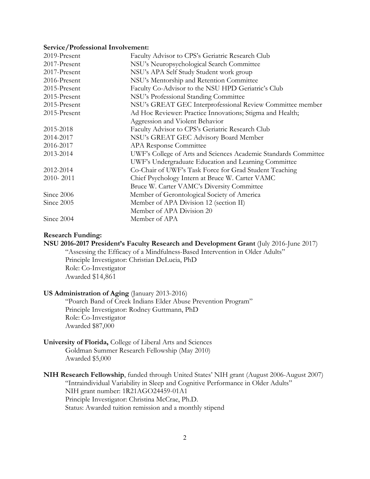#### **Service/Professional Involvement:**

| 2019-Present | Faculty Advisor to CPS's Geriatric Research Club                |
|--------------|-----------------------------------------------------------------|
| 2017-Present | NSU's Neuropsychological Search Committee                       |
| 2017-Present | NSU's APA Self Study Student work group                         |
| 2016-Present | NSU's Mentorship and Retention Committee                        |
| 2015-Present | Faculty Co-Advisor to the NSU HPD Geriatric's Club              |
| 2015-Present | NSU's Professional Standing Committee                           |
| 2015-Present | NSU's GREAT GEC Interprofessional Review Committee member       |
| 2015-Present | Ad Hoc Reviewer: Practice Innovations; Stigma and Health;       |
|              | Aggression and Violent Behavior                                 |
| 2015-2018    | Faculty Advisor to CPS's Geriatric Research Club                |
| 2014-2017    | NSU's GREAT GEC Advisory Board Member                           |
| 2016-2017    | APA Response Committee                                          |
| 2013-2014    | UWF's College of Arts and Sciences Academic Standards Committee |
|              | UWF's Undergraduate Education and Learning Committee            |
| 2012-2014    | Co-Chair of UWF's Task Force for Grad Student Teaching          |
| 2010-2011    | Chief Psychology Intern at Bruce W. Carter VAMC                 |
|              | Bruce W. Carter VAMC's Diversity Committee                      |
| Since 2006   | Member of Gerontological Society of America                     |
| Since 2005   | Member of APA Division 12 (section II)                          |
|              | Member of APA Division 20                                       |
| Since 2004   | Member of APA                                                   |

# **Research Funding:**

**NSU 2016-2017 President's Faculty Research and Development Grant** (July 2016-June 2017)

"Assessing the Efficacy of a Mindfulness-Based Intervention in Older Adults" Principle Investigator: Christian DeLucia, PhD Role: Co-Investigator Awarded \$14,861

# **US Administration of Aging** (January 2013-2016)

"Poarch Band of Creek Indians Elder Abuse Prevention Program" Principle Investigator: Rodney Guttmann, PhD Role: Co-Investigator Awarded \$87,000

# **University of Florida,** College of Liberal Arts and Sciences

Goldman Summer Research Fellowship (May 2010) Awarded \$5,000

# **NIH Research Fellowship**, funded through United States' NIH grant (August 2006-August 2007) "Intraindividual Variability in Sleep and Cognitive Performance in Older Adults" NIH grant number: 1R21AGO24459-01A1 Principle Investigator: Christina McCrae, Ph.D. Status: Awarded tuition remission and a monthly stipend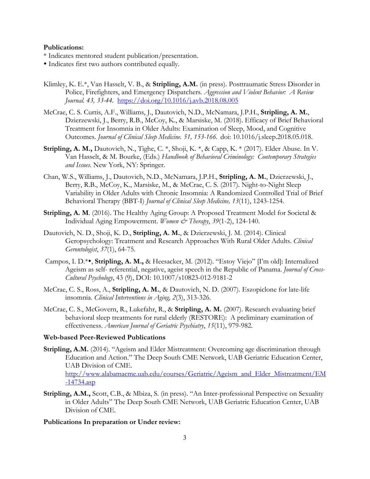## **Publications:**

- \* Indicates mentored student publication/presentation.
- Indicates first two authors contributed equally.
- Klimley, K. E.\*, Van Hasselt, V. B., & **Stripling, A.M.** (in press). Posttraumatic Stress Disorder in Police, Firefighters, and Emergency Dispatchers. *Aggression and Violent Behavior: A Review Journal. 43, 33-44.* https://doi.org/10.1016/j.avb.2018.08.005
- McCrae, C. S. Curtis, A.F., Williams, J., Dautovich, N.D., McNamara, J.P.H., **Stripling, A. M.**, Dzierzewski, J., Berry, R.B., McCoy, K., & Marsiske, M. (2018). Efficacy of Brief Behavioral Treatment for Insomnia in Older Adults: Examination of Sleep, Mood, and Cognitive Outcomes. *Journal of Clinical Sleep Medicine. 51, 153-166.* doi: 10.1016/j.sleep.2018.05.018.
- **Stripling, A. M.,** Dautovich, N., Tighe, C. \*, Shoji, K. \*, & Capp, K. \* (2017). Elder Abuse. In V. Van Hasselt, & M. Bourke, (Eds.) *Handbook of Behavioral Criminology: Contemporary Strategies and Issues.* New York, NY: Springer.
- Chan, W.S., Williams, J., Dautovich, N.D., McNamara, J.P.H., **Stripling, A. M.**, Dzierzewski, J., Berry, R.B., McCoy, K., Marsiske, M., & McCrae, C. S. (2017). Night-to-Night Sleep Variability in Older Adults with Chronic Insomnia: A Randomized Controlled Trial of Brief Behavioral Therapy (BBT-I) *Journal of Clinical Sleep Medicine, 13*(11), 1243-1254.
- **Stripling, A. M**. (2016). The Healthy Aging Group: A Proposed Treatment Model for Societal & Individual Aging Empowerment. *Women & Therapy*, *39*(1-2), 124-140.
- Dautovich, N. D., Shoji, K. D., **Stripling, A. M.**, & Dzierzewski, J. M. (2014). Clinical Geropsychology: Treatment and Research Approaches With Rural Older Adults. *Clinical Gerontologist*, *37*(1), 64-75.
- Campos, I. D.\*•, Stripling, A. M., & Heesacker, M. (2012). "Estoy Viejo" [I'm old]: Internalized Ageism as self- referential, negative, ageist speech in the Republic of Panama. *Journal of Cross-Cultural Psychology*, 43 (9), DOI: 10.1007/s10823-012-9181-2
- McCrae, C. S., Ross, A., **Stripling, A. M.**, & Dautovich, N. D. (2007). Eszopiclone for late-life insomnia. *Clinical Interventions in Aging, 2*(3), 313-326.
- McCrae, C. S., McGovern, R., Lukefahr, R., & **Stripling, A. M.** (2007). Research evaluating brief behavioral sleep treatments for rural elderly (RESTORE): A preliminary examination of effectiveness. *American Journal of Geriatric Psychiatry*, *15*(11), 979-982.

# **Web-based Peer-Reviewed Publications**

- Stripling, A.M. (2014). "Ageism and Elder Mistreatment: Overcoming age discrimination through Education and Action." The Deep South CME Network, UAB Geriatric Education Center, UAB Division of CME. http://www.alabamacme.uab.edu/courses/Geriatric/Ageism\_and\_Elder\_Mistreatment/EM -14734.asp
- **Stripling, A.M.,** Scott, C.B., & Mbiza, S. (in press). "An Inter-professional Perspective on Sexuality in Older Adults" The Deep South CME Network, UAB Geriatric Education Center, UAB Division of CME.

# **Publications In preparation or Under review:**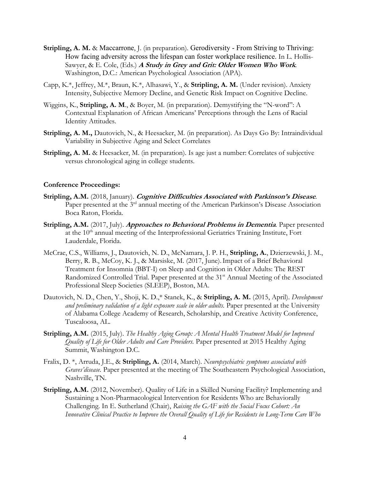- **Stripling, A. M.** & Maccarrone, J. (in preparation). Gerodiversity From Striving to Thriving: How facing adversity across the lifespan can foster workplace resilience. In L. Hollis-Sawyer, & E. Cole, (Eds.) **A Study in Grey and Grit: Older Women Who Work***.* Washington, D.C.: American Psychological Association (APA).
- Capp, K.\*, Jeffrey, M.\*, Braun, K.\*, Alhasawi, Y., & **Stripling, A. M.** (Under revision). Anxiety Intensity, Subjective Memory Decline, and Genetic Risk Impact on Cognitive Decline.
- Wiggins, K., **Stripling, A. M**., & Boyer, M. (in preparation). Demystifying the "N-word": A Contextual Explanation of African Americans' Perceptions through the Lens of Racial Identity Attitudes.
- **Stripling, A. M.,** Dautovich, N., & Heesacker, M. (in preparation). As Days Go By: Intraindividual Variability in Subjective Aging and Select Correlates
- **Stripling, A. M.** & Heesacker, M. (in preparation). Is age just a number: Correlates of subjective versus chronological aging in college students.

# **Conference Proceedings:**

- **Stripling, A.M.** (2018, January). **Cognitive Difficulties Associated with Parkinson's Disease***.* Paper presented at the 3<sup>rd</sup> annual meeting of the American Parkinson's Disease Association Boca Raton, Florida.
- **Stripling, A.M.** (2017, July). **Approaches to Behavioral Problems in Dementia***.* Paper presented at the 10<sup>th</sup> annual meeting of the Interprofessional Geriatrics Training Institute, Fort Lauderdale, Florida.
- McCrae, C.S., Williams, J., Dautovich, N. D., McNamara, J. P. H., **Stripling, A.**, Dzierzewski, J. M., Berry, R. B., McCoy, K. J., & Marsiske, M. (2017, June).Impact of a Brief Behavioral Treatment for Insomnia (BBT-I) on Sleep and Cognition in Older Adults: The REST Randomized Controlled Trial. Paper presented at the 31<sup>st</sup> Annual Meeting of the Associated Professional Sleep Societies (SLEEP), Boston, MA.
- Dautovich, N. D., Chen, Y., Shoji, K. D.,\* Stanek, K., & **Stripling, A. M.** (2015, April). *Development and preliminary validation of a light exposure scale in older adults.* Paper presented at the University of Alabama College Academy of Research, Scholarship, and Creative Activity Conference, Tuscaloosa, AL.
- **Stripling, A.M.** (2015, July). *The Healthy Aging Group: A Mental Health Treatment Model for Improved Quality of Life for Older Adults and Care Providers.* Paper presented at 2015 Healthy Aging Summit, Washington D.C.
- Fralix, D. \*, Arruda, J.E., & **Stripling, A.** (2014, March). *Neuropsychiatric symptoms associated with Graves'disease.* Paper presented at the meeting of The Southeastern Psychological Association, Nashville, TN.
- **Stripling, A.M.** (2012, November). Quality of Life in a Skilled Nursing Facility? Implementing and Sustaining a Non-Pharmacological Intervention for Residents Who are Behaviorally Challenging. In E. Sutherland (Chair), *Raising the GAF with the Social Focus Cohort: An Innovative Clinical Practice to Improve the Overall Quality of Life for Residents in Long-Term Care Who*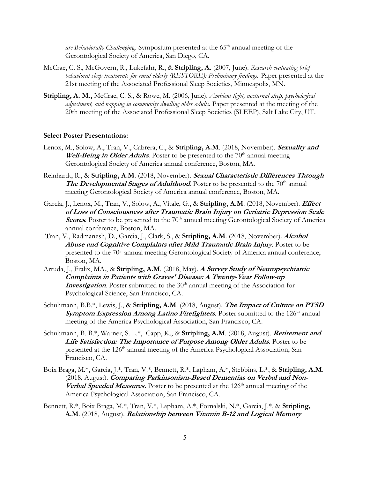*are Behaviorally Challenging.* Symposium presented at the 65<sup>th</sup> annual meeting of the Gerontological Society of America, San Diego, CA.

- McCrae, C. S., McGovern, R., Lukefahr, R., & **Stripling, A.** (2007, June). *Research evaluating brief*  behavioral sleep treatments for rural elderly (RESTORE): Preliminary findings. Paper presented at the 21st meeting of the Associated Professional Sleep Societies, Minneapolis, MN.
- **Stripling, A. M.,** McCrae, C. S., & Rowe, M. (2006, June). *Ambient light, nocturnal sleep, psychological adjustment, and napping in community dwelling older adults.* Paper presented at the meeting of the 20th meeting of the Associated Professional Sleep Societies (SLEEP), Salt Lake City, UT.

## **Select Poster Presentations:**

- Lenox, M., Solow, A., Tran, V., Cabrera, C., & **Stripling, A.M**. (2018, November). **Sexuality and Well-Being in Older Adults**. Poster to be presented to the 70<sup>th</sup> annual meeting Gerontological Society of America annual conference, Boston, MA.
- Reinhardt, R., & **Stripling, A.M**. (2018, November). **Sexual Characteristic Differences Through The Developmental Stages of Adulthood**. Poster to be presented to the 70<sup>th</sup> annual meeting Gerontological Society of America annual conference, Boston, MA.
- Garcia, J., Lenox, M., Tran, V., Solow, A., Vitale, G., & **Stripling, A.M**. (2018, November). **Effect of Loss of Consciousness after Traumatic Brain Injury on Geriatric Depression Scale Scores**. Poster to be presented to the 70<sup>th</sup> annual meeting Gerontological Society of America annual conference, Boston, MA.
- Tran, V., Radmanesh, D., Garcia, J., Clark, S., & **Stripling, A.M**. (2018, November). **Alcohol Abuse and Cognitive Complaints after Mild Traumatic Brain Injury***.* Poster to be presented to the 70<sup>th</sup> annual meeting Gerontological Society of America annual conference, Boston, MA.
- Arruda, J., Fralix, MA., & **Stripling, A.M**. (2018, May). **A Survey Study of Neuropsychiatric Complaints in Patients with Graves' Disease: A Twenty-Year Follow-up Investigation**. Poster submitted to the 30<sup>th</sup> annual meeting of the Association for Psychological Science, San Francisco, CA.
- Schuhmann, B.B.\*, Lewis, J., & **Stripling, A.M**. (2018, August). **The Impact of Culture on PTSD Symptom Expression Among Latino Firefighters**. Poster submitted to the 126<sup>th</sup> annual meeting of the America Psychological Association, San Francisco, CA.
- Schuhmann, B. B.\*, Warner, S. L.\*, Capp, K., & **Stripling, A.M**. (2018, August). **Retirement and Life Satisfaction: The Importance of Purpose Among Older Adults***.* Poster to be presented at the 126<sup>th</sup> annual meeting of the America Psychological Association, San Francisco, CA.
- Boix Braga, M.\*, Garcia, J.\*, Tran, V.\*, Bennett, R.\*, Lapham, A.\*, Stebbins, L.\*, & **Stripling, A.M**. (2018, August). **Comparing Parkinsonism-Based Dementias on Verbal and Non-Verbal Speeded Measures.** Poster to be presented at the 126<sup>th</sup> annual meeting of the America Psychological Association, San Francisco, CA.
- Bennett, R.\*, Boix Braga, M.\*, Tran, V.\*, Lapham, A.\*, Fornalski, N.\*, Garcia, J.\*, & **Stripling, A.M**. (2018, August). **Relationship between Vitamin B-12 and Logical Memory**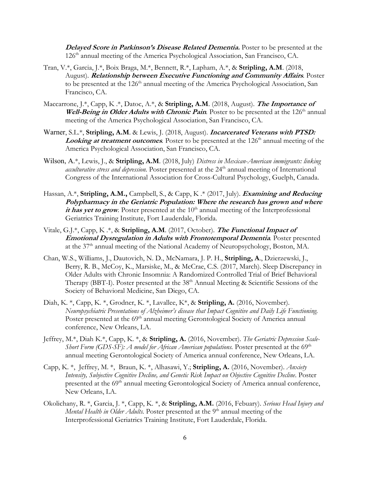**Delayed Score in Parkinson's Disease Related Dementia.** Poster to be presented at the 126th annual meeting of the America Psychological Association, San Francisco, CA.

- Tran, V.\*, Garcia, J.\*, Boix Braga, M.\*, Bennett, R.\*, Lapham, A.\*, & **Stripling, A.M**. (2018, August). **Relationship between Executive Functioning and Community Affairs***.* Poster to be presented at the 126<sup>th</sup> annual meeting of the America Psychological Association, San Francisco, CA.
- Maccarrone, J.\*, Capp, K .\*, Datoc, A.\*, & **Stripling, A.M**. (2018, August). **The Importance of Well-Being in Older Adults with Chronic Pain**. Poster to be presented at the 126<sup>th</sup> annual meeting of the America Psychological Association, San Francisco, CA.
- Warner, S.L.\*, **Stripling, A.M**. & Lewis, J. (2018, August). **Incarcerated Veterans with PTSD: Looking at treatment outcomes**. Poster to be presented at the 126<sup>th</sup> annual meeting of the America Psychological Association, San Francisco, CA.
- Wilson, A.\*, Lewis, J., & **Stripling, A.M**. (2018, July) *Distress in Mexican-American immigrants: linking acculturative stress and depression*. Poster presented at the 24<sup>th</sup> annual meeting of International Congress of the International Association for Cross-Cultural Psychology, Guelph, Canada.
- Hassan, A.\*, **Stripling, A.M.,** Campbell, S., & Capp, K .\* (2017, July). **Examining and Reducing Polypharmacy in the Geriatric Population: Where the research has grown and where**  it has yet to grow. Poster presented at the  $10<sup>th</sup>$  annual meeting of the Interprofessional Geriatrics Training Institute, Fort Lauderdale, Florida.
- Vitale, G.J.\*, Capp, K .\*, & **Stripling, A.M**. (2017, October). **The Functional Impact of Emotional Dysregulation in Adults with Frontotemporal Dementia***.* Poster presented at the 37th annual meeting of the National Academy of Neuropsychology, Boston, MA.
- Chan, W.S., Williams, J., Dautovich, N. D., McNamara, J. P. H., **Stripling, A**., Dzierzewski, J., Berry, R. B., McCoy, K., Marsiske, M., & McCrae, C.S. (2017, March). Sleep Discrepancy in Older Adults with Chronic Insomnia: A Randomized Controlled Trial of Brief Behavioral Therapy (BBT-I). Poster presented at the 38<sup>th</sup> Annual Meeting & Scientific Sessions of the Society of Behavioral Medicine, San Diego, CA.
- Diah, K. \*, Capp, K. \*, Grodner, K. \*, Lavallee, K\*, & **Stripling, A.** (2016, November). *Neuropsychiatric Presentations of Alzheimer's disease that Impact Cognitive and Daily Life Functioning.*  Poster presented at the 69<sup>th</sup> annual meeting Gerontological Society of America annual conference, New Orleans, LA.
- Jeffrey, M.\*, Diah K.\*, Capp, K. \*, & **Stripling, A.** (2016, November). *The Geriatric Depression Scale-Short Form (GDS-SF): A model for African American populations.* Poster presented at the 69<sup>th</sup> annual meeting Gerontological Society of America annual conference, New Orleans, LA.
- Capp, K. \*, Jeffrey, M. \*, Braun, K. \*, Alhasawi, Y.; **Stripling, A.** (2016, November). *Anxiety Intensity, Subjective Cognitive Decline, and Genetic Risk Impact on Objective Cognitive Decline*. Poster presented at the 69<sup>th</sup> annual meeting Gerontological Society of America annual conference, New Orleans, LA.
- Okolichany, R. \*, Garcia, J. \*, Capp, K. \*, & **Stripling, A.M.** (2016, Febuary). *Serious Head Injury and Mental Health in Older Adults.* Poster presented at the 9<sup>th</sup> annual meeting of the Interprofessional Geriatrics Training Institute, Fort Lauderdale, Florida.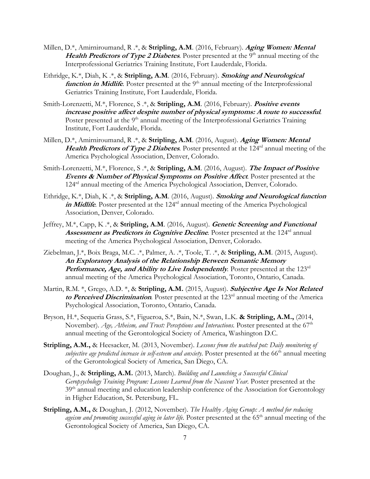- Millen, D.\*, Amirniroumand, R .\*, & **Stripling, A.M**. (2016, February). **Aging Women: Mental Health Predictors of Type 2 Diabetes**. Poster presented at the 9<sup>th</sup> annual meeting of the Interprofessional Geriatrics Training Institute, Fort Lauderdale, Florida.
- Ethridge, K.\*, Diah, K .\*, & **Stripling, A.M**. (2016, February). **Smoking and Neurological function in Midlife**. Poster presented at the 9<sup>th</sup> annual meeting of the Interprofessional Geriatrics Training Institute, Fort Lauderdale, Florida.
- Smith-Lorenzetti, M.\*, Florence, S .\*, & **Stripling, A.M**. (2016, February). **Positive events increase positive affect despite number of physical symptoms: A route to successful***.*  Poster presented at the 9<sup>th</sup> annual meeting of the Interprofessional Geriatrics Training Institute, Fort Lauderdale, Florida.
- Millen, D.\*, Amirniroumand, R .\*, & **Stripling, A.M**. (2016, August). **Aging Women: Mental Health Predictors of Type 2 Diabetes***.* Poster presented at the 124rd annual meeting of the America Psychological Association, Denver, Colorado.
- Smith-Lorenzetti, M.\*, Florence, S .\*, & **Stripling, A.M**. (2016, August). **The Impact of Positive Events & Number of Physical Symptoms on Positive Affect***.* Poster presented at the 124rd annual meeting of the America Psychological Association, Denver, Colorado.
- Ethridge, K.\*, Diah, K .\*, & **Stripling, A.M**. (2016, August). **Smoking and Neurological function**  in Midlife. Poster presented at the 124<sup>rd</sup> annual meeting of the America Psychological Association, Denver, Colorado.
- Jeffrey, M.\*, Capp, K .\*, & **Stripling, A.M**. (2016, August). **Genetic Screening and Functional Assessment as Predictors in Cognitive Decline**. Poster presented at the 124<sup>rd</sup> annual meeting of the America Psychological Association, Denver, Colorado.
- Ziebelman, J.\*, Boix Braga, M.C. .\*, Palmer, A. .\*, Toole, T. .\*, & **Stripling, A.M**. (2015, August). **An Exploratory Analysis of the Relationship Between Semantic Memory Performance, Age, and Ability to Live Independently**. Poster presented at the 123<sup>rd</sup> annual meeting of the America Psychological Association, Toronto, Ontario, Canada.
- Martin, R.M. \*, Grego, A.D. \*, & **Stripling, A.M.** (2015, August). **Subjective Age Is Not Related**  to Perceived Discrimination. Poster presented at the 123<sup>rd</sup> annual meeting of the America Psychological Association, Toronto, Ontario, Canada.
- Bryson, H.\*, Sequeria Grass, S.\*, Figueroa, S.\*, Bain, N.\*, Swan, L.K. **& Stripling, A.M.,** (2014, November). Age, Atheism, and Trust: Perceptions and Interactions. Poster presented at the 67<sup>th</sup> annual meeting of the Gerontological Society of America, Washington D.C.
- **Stripling, A.M.,** & Heesacker, M. (2013, November). *Lessons from the watched pot: Daily monitoring of subjective age predicted increase in self-esteem and anxiety.* Poster presented at the 66<sup>th</sup> annual meeting of the Gerontological Society of America, San Diego, CA.
- Doughan, J., & **Stripling, A.M.** (2013, March). *Building and Launching a Successful Clinical Geropsychology Training Program: Lessons Learned from the Nascent Year.* Poster presented at the 39<sup>th</sup> annual meeting and education leadership conference of the Association for Gerontology in Higher Education, St. Petersburg, FL.
- **Stripling, A.M.,** & Doughan, J. (2012, November). *The Healthy Aging Group: A method for reducing*  ageism and promoting successful aging in later life. Poster presented at the 65<sup>th</sup> annual meeting of the Gerontological Society of America, San Diego, CA.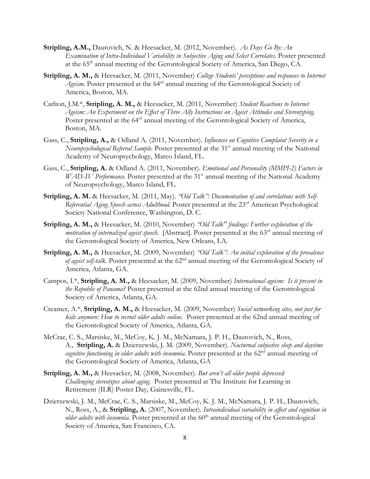- **Stripling, A.M.,** Dautovich, N. & Heesacker, M. (2012, November). *As Days Go By: An Examination of Intra-Individual Variability in Subjective Aging and Select Correlates.* Poster presented at the 65th annual meeting of the Gerontological Society of America, San Diego, CA.
- **Stripling, A. M.,** & Heesacker, M. (2011, November) *College Students' perceptions and responses to Internet Ageism.* Poster presented at the 64rd annual meeting of the Gerontological Society of America, Boston, MA.
- Carlton, J.M.\*, **Stripling, A. M.,** & Heesacker, M. (2011, November) *Student Reactions to Internet Ageism: An Experiment on the Effect of Three Ally Instructions on Ageist Attitudes and Stereotyping.*  Poster presented at the 64<sup>rd</sup> annual meeting of the Gerontological Society of America, Boston, MA.
- Gass, C., **Stripling, A.,** & Odland A. (2011, November). *Influences on Cognitive Complaint Severity in a Neuropsychological Referral Sample*. Poster presented at the 31<sup>st</sup> annual meeting of the National Academy of Neuropsychology, Marco Island, FL.
- Gass, C., **Stripling, A.** & Odland A. (2011, November). *Emotional and Personality (MMPI-2) Factors in WAIS-IV Performance*. Poster presented at the 31<sup>st</sup> annual meeting of the National Academy of Neuropsychology, Marco Island, FL.
- **Stripling, A. M.** & Heesacker, M. (2011, May). *"Old Talk": Documentation of and correlations with Self-*Referential Aging Speech across Adulthood. Poster presented at the 23<sup>rd</sup> American Psychological Society National Conference, Washington, D. C.
- **Stripling, A. M.,** & Heesacker, M. (2010, November) *"Old Talk'' findings: Further exploration of the motivation of internalized ageist speech.* [Abstract]. Poster presented at the 63<sup>rd</sup> annual meeting of the Gerontological Society of America, New Orleans, LA.
- **Stripling, A. M.,** & Heesacker, M. (2009, November) *"Old Talk": An initial exploration of the prevalence of ageist self-talk.* Poster presented at the 62nd annual meeting of the Gerontological Society of America, Atlanta, GA.
- Campos, I.\*, **Stripling, A. M.,** & Heesacker, M. (2009, November) *International ageism: Is it present in the Republic of Panama?* Poster presented at the 62nd annual meeting of the Gerontological Society of America, Atlanta, GA.
- Creamer, A.\*, **Stripling, A. M.,** & Heesacker, M. (2009, November) *Social networking sites, not just for kids anymore: How to recruit older adults online.* Poster presented at the 62nd annual meeting of the Gerontological Society of America, Atlanta, GA.
- McCrae, C. S., Marsiske, M., McCoy, K. J. M., McNamara, J. P. H., Dautovich, N., Ross, A., **Stripling, A.** & Dzierzewski, J. M. (2009, November). *Nocturnal subjective sleep and daytime*  cognitive functioning in older adults with insomnia. Poster presented at the 62<sup>nd</sup> annual meeting of the Gerontological Society of America, Atlanta, GA
- **Stripling, A. M.,** & Heesacker, M. (2008, November). *But aren't all older people depressed: Challenging stereotypes about aging.* Poster presented at The Institute for Learning in Retirement (ILR) Poster Day, Gainesville, FL.
- Dzierzewski, J. M., McCrae, C. S., Marsiske, M., McCoy, K. J. M., McNamara, J. P. H., Dautovich, N., Ross, A., & **Stripling, A.** (2007, November). *Intraindividual variability in affect and cognition in older adults with insomnia*. Poster presented at the 60<sup>th</sup> annual meeting of the Gerontological Society of America, San Francisco, CA.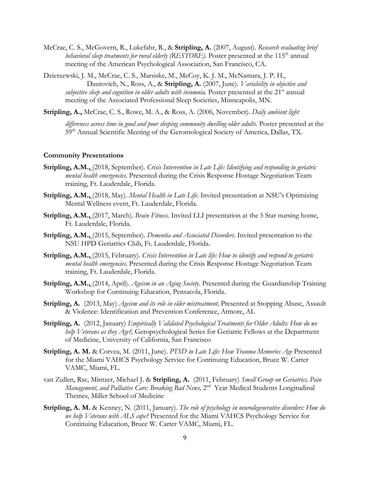- McCrae, C. S., McGovern, R., Lukefahr, R., & **Stripling, A.** (2007, August). *Research evaluating brief behavioral sleep treatments for rural elderly (RESTORE).* Poster presented at the 115<sup>th</sup> annual meeting of the American Psychological Association, San Francisco, CA.
- Dzierzewski, J. M., McCrae, C. S., Marsiske, M., McCoy, K. J. M., McNamara, J. P. H., Dautovich, N., Ross, A., & **Stripling, A.** (2007, June). *Variability in objective and subjective sleep and cognition in older adults with insomnia*. Poster presented at the 21<sup>st</sup> annual meeting of the Associated Professional Sleep Societies, Minneapolis, MN.

**Stripling, A.,** McCrae, C. S., Rowe, M. A., & Ross, A. (2006, November). *Daily ambient light* 

differences across time in good and poor sleeping community dwelling older adults. Poster presented at the 59<sup>th</sup> Annual Scientific Meeting of the Gerontological Society of America, Dallas, TX.

#### **Community Presentations**

- **Stripling, A.M.,** (2018, September). *Crisis Intervention in Late Life: Identifying and responding to geriatric mental health emergencies*. Presented during the Crisis Response Hostage Negotiation Team training, Ft. Lauderdale, Florida.
- **Stripling, A.M.,** (2018, May). *Mental Health in Late Life*. Invited presentation at NSU's Optimizing Mental Wellness event, Ft. Lauderdale, Florida.
- **Stripling, A.M.,** (2017, March). *Brain Fitness*. Invited LLI presentation at the 5 Star nursing home, Ft. Lauderdale, Florida.
- **Stripling, A.M.,** (2015, September). *Dementia and Associated Disorders*. Invited presentation to the NSU HPD Geriatrics Club, Ft. Lauderdale, Florida.
- **Stripling, A.M.,** (2015, February). *Crisis Intervention in Late life: How to identify and respond to geriatric mental health emergencies*. Presented during the Crisis Response Hostage Negotiation Team training, Ft. Lauderdale, Florida.
- **Stripling, A.M.,** (2014, April). *Ageism in an Aging Society*. Presented during the Guardianship Training Workshop for Continuing Education, Pensacola, Florida.
- **Stripling, A.** (2013, May) *Ageism and its role in elder mistreatment,* Presented at Stopping Abuse, Assault & Violence: Identification and Prevention Conference, Atmore, AL
- **Stripling, A.** (2012, January) *Empirically Validated Psychological Treatments for Older Adults: How do we help Veterans as they Age?,* Geropsychological Series for Geriatric Fellows at the Department of Medicine, University of California, San Francisco
- **Stripling, A. M.** & Corvea, M. (2011, June). *PTSD in Late Life: How Trauma Memories Age* Presented for the Miami VAHCS Psychology Service for Continuing Education, Bruce W. Carter VAMC, Miami, FL.
- van Zullen, Rse, Mintzer, Michael J. & **Stripling, A.** (2011, February) *Small Group on Geriatrics, Pain Management, and Palliative Care: Breaking Bad News, 2<sup>nd</sup> Year Medical Students Longitudinal* Themes, Miller School of Medicine
- **Stripling, A. M.** & Kenney, N. (2011, January). *The role of psychology in neurodegenerative disorders: How do we help Veterans with ALS cope?* Presented for the Miami VAHCS Psychology Service for Continuing Education, Bruce W. Carter VAMC, Miami, FL.